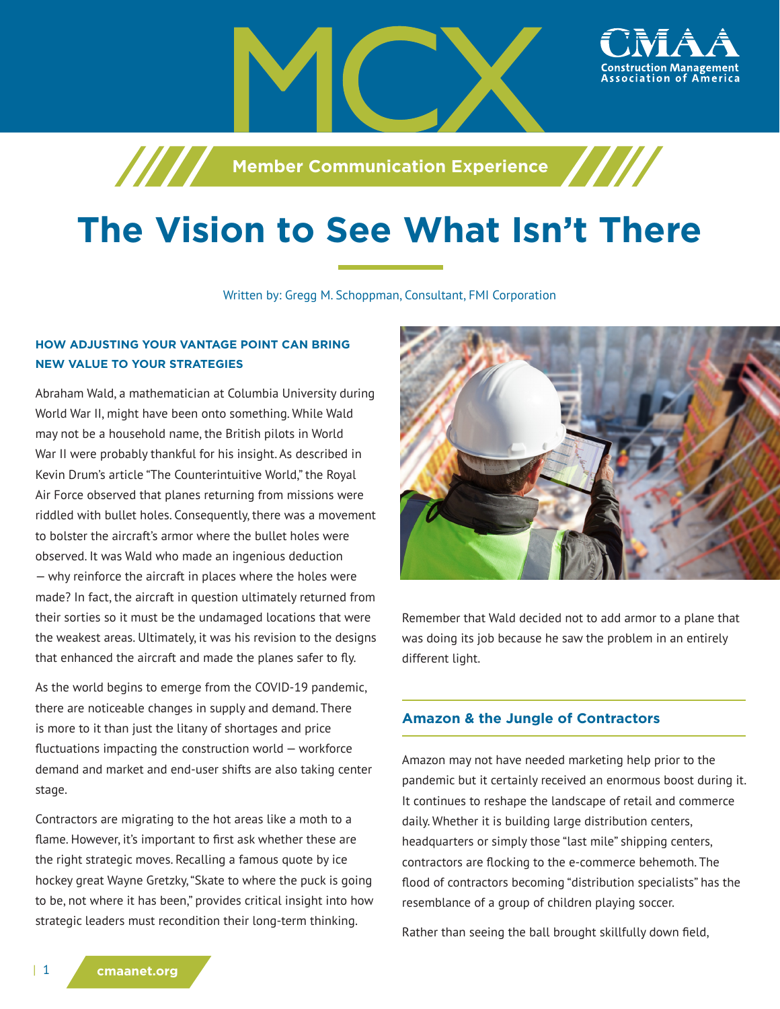

# **The Vision to See What Isn't There**

Written by: Gregg M. Schoppman, Consultant, FMI Corporation

## **HOW ADJUSTING YOUR VANTAGE POINT CAN BRING NEW VALUE TO YOUR STRATEGIES**

Abraham Wald, a mathematician at Columbia University during World War II, might have been onto something. While Wald may not be a household name, the British pilots in World War II were probably thankful for his insight. As described in Kevin Drum's article "The Counterintuitive World," the Royal Air Force observed that planes returning from missions were riddled with bullet holes. Consequently, there was a movement to bolster the aircraft's armor where the bullet holes were observed. It was Wald who made an ingenious deduction — why reinforce the aircraft in places where the holes were made? In fact, the aircraft in question ultimately returned from their sorties so it must be the undamaged locations that were the weakest areas. Ultimately, it was his revision to the designs that enhanced the aircraft and made the planes safer to fly.

As the world begins to emerge from the COVID-19 pandemic, there are noticeable changes in supply and demand. There is more to it than just the litany of shortages and price fluctuations impacting the construction world — workforce demand and market and end-user shifts are also taking center stage.

Contractors are migrating to the hot areas like a moth to a flame. However, it's important to first ask whether these are the right strategic moves. Recalling a famous quote by ice hockey great Wayne Gretzky, "Skate to where the puck is going to be, not where it has been," provides critical insight into how strategic leaders must recondition their long-term thinking.



ssociation of

Remember that Wald decided not to add armor to a plane that was doing its job because he saw the problem in an entirely different light.

### **Amazon & the Jungle of Contractors**

Amazon may not have needed marketing help prior to the pandemic but it certainly received an enormous boost during it. It continues to reshape the landscape of retail and commerce daily. Whether it is building large distribution centers, headquarters or simply those "last mile" shipping centers, contractors are flocking to the e-commerce behemoth. The flood of contractors becoming "distribution specialists" has the resemblance of a group of children playing soccer.

Rather than seeing the ball brought skillfully down field,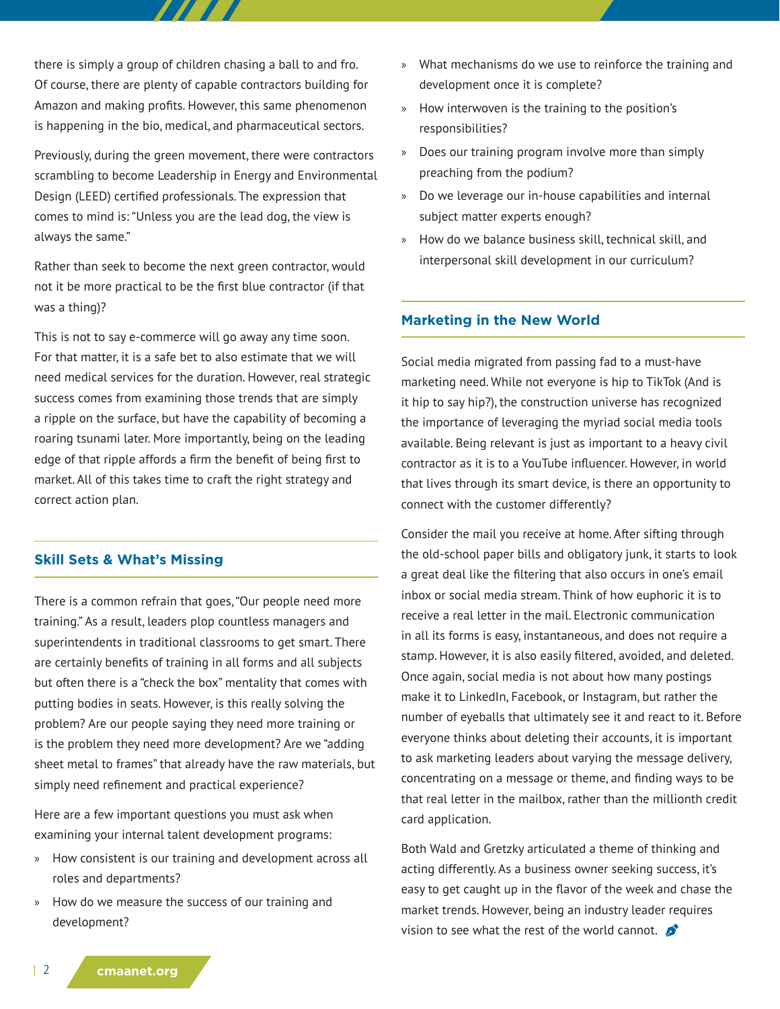there is simply a group of children chasing a ball to and fro. Of course, there are plenty of capable contractors building for Amazon and making profits. However, this same phenomenon is happening in the bio, medical, and pharmaceutical sectors.

77 T T

Previously, during the green movement, there were contractors scrambling to become Leadership in Energy and Environmental Design (LEED) certified professionals. The expression that comes to mind is: "Unless you are the lead dog, the view is always the same."

Rather than seek to become the next green contractor, would not it be more practical to be the first blue contractor (if that was a thing)?

This is not to say e-commerce will go away any time soon. For that matter, it is a safe bet to also estimate that we will need medical services for the duration. However, real strategic success comes from examining those trends that are simply a ripple on the surface, but have the capability of becoming a roaring tsunami later. More importantly, being on the leading edge of that ripple affords a firm the benefit of being first to market. All of this takes time to craft the right strategy and correct action plan.

## **Skill Sets & What's Missing**

There is a common refrain that goes, "Our people need more training." As a result, leaders plop countless managers and superintendents in traditional classrooms to get smart. There are certainly benefits of training in all forms and all subjects but often there is a "check the box" mentality that comes with putting bodies in seats. However, is this really solving the problem? Are our people saying they need more training or is the problem they need more development? Are we "adding sheet metal to frames" that already have the raw materials, but simply need refinement and practical experience?

Here are a few important questions you must ask when examining your internal talent development programs:

- » How consistent is our training and development across all roles and departments?
- » How do we measure the success of our training and development?
- » What mechanisms do we use to reinforce the training and development once it is complete?
- » How interwoven is the training to the position's responsibilities?
- » Does our training program involve more than simply preaching from the podium?
- » Do we leverage our in-house capabilities and internal subject matter experts enough?
- » How do we balance business skill, technical skill, and interpersonal skill development in our curriculum?

#### **Marketing in the New World**

Social media migrated from passing fad to a must-have marketing need. While not everyone is hip to TikTok (And is it hip to say hip?), the construction universe has recognized the importance of leveraging the myriad social media tools available. Being relevant is just as important to a heavy civil contractor as it is to a YouTube influencer. However, in world that lives through its smart device, is there an opportunity to connect with the customer differently?

Consider the mail you receive at home. After sifting through the old-school paper bills and obligatory junk, it starts to look a great deal like the filtering that also occurs in one's email inbox or social media stream. Think of how euphoric it is to receive a real letter in the mail. Electronic communication in all its forms is easy, instantaneous, and does not require a stamp. However, it is also easily filtered, avoided, and deleted. Once again, social media is not about how many postings make it to LinkedIn, Facebook, or Instagram, but rather the number of eyeballs that ultimately see it and react to it. Before everyone thinks about deleting their accounts, it is important to ask marketing leaders about varying the message delivery, concentrating on a message or theme, and finding ways to be that real letter in the mailbox, rather than the millionth credit card application.

Both Wald and Gretzky articulated a theme of thinking and acting differently. As a business owner seeking success, it's easy to get caught up in the flavor of the week and chase the market trends. However, being an industry leader requires vision to see what the rest of the world cannot.  $\mathcal{L}$